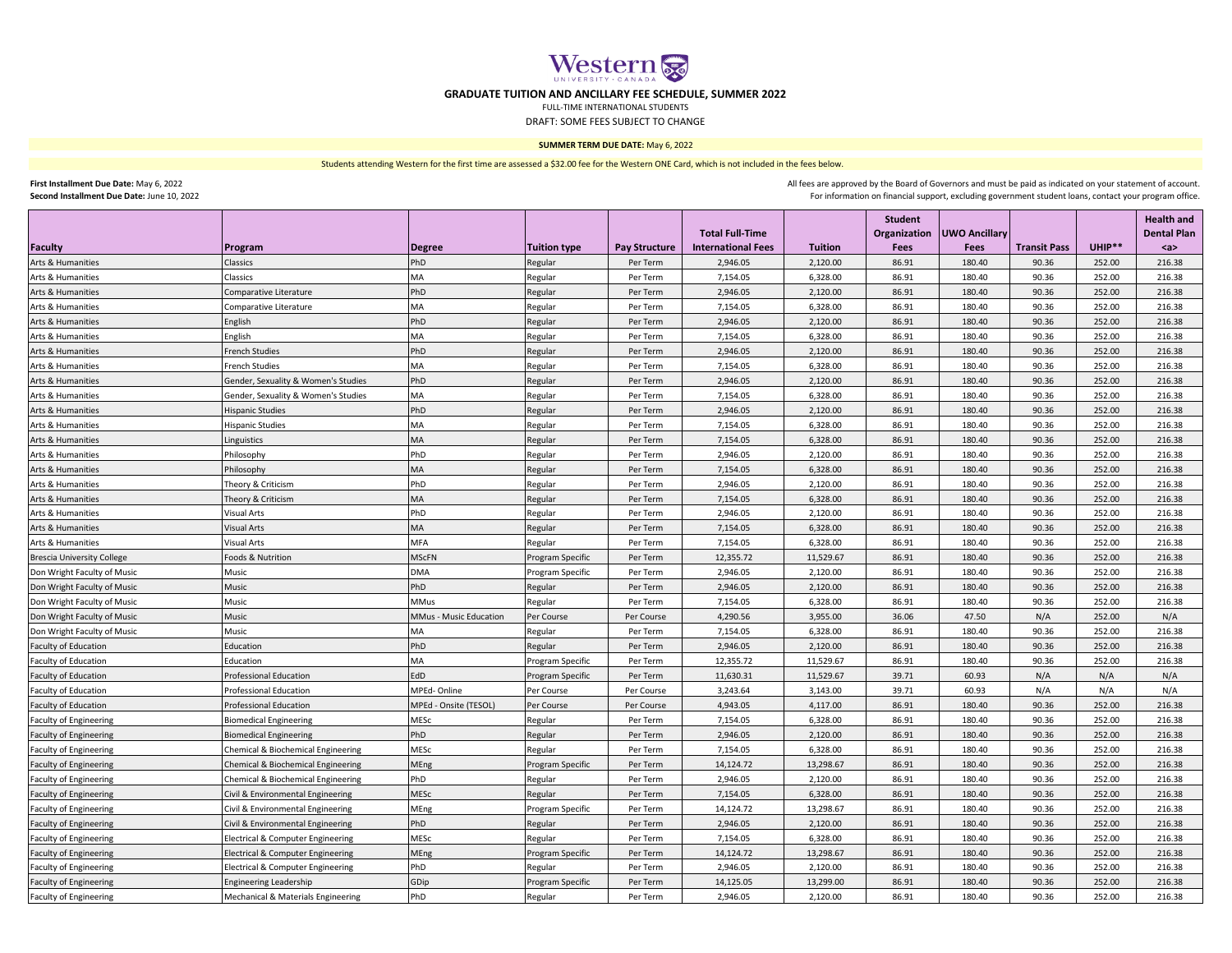

## **GRADUATE TUITION AND ANCILLARY FEE SCHEDULE, SUMMER 2022**

FULL-TIME INTERNATIONAL STUDENTS

DRAFT: SOME FEES SUBJECT TO CHANGE

## **SUMMER TERM DUE DATE:** May 6, 2022

Students attending Western for the first time are assessed a \$32.00 fee for the Western ONE Card, which is not included in the fees below.

**First Installment Due Date:** May 6, 2022

**Second Installment Due Date:** June 10, 2022

For information on financial support, excluding government student loans, contact your program office. All fees are approved by the Board of Governors and must be paid as indicated on your statement of account.

|                                   |                                     |                        |                     |                      |                                                     |                | <b>Student</b>              |                                     |                     |          | <b>Health and</b>         |
|-----------------------------------|-------------------------------------|------------------------|---------------------|----------------------|-----------------------------------------------------|----------------|-----------------------------|-------------------------------------|---------------------|----------|---------------------------|
| Faculty                           | Program                             | <b>Degree</b>          | <b>Tuition type</b> | <b>Pay Structure</b> | <b>Total Full-Time</b><br><b>International Fees</b> | <b>Tuition</b> | <b>Organization</b><br>Fees | <b>UWO Ancillary</b><br><b>Fees</b> | <b>Transit Pass</b> | $UHIP**$ | <b>Dental Plan</b><br>$a$ |
| Arts & Humanities                 | Classics                            | PhD                    | Regular             | Per Term             | 2,946.05                                            | 2,120.00       | 86.91                       | 180.40                              | 90.36               | 252.00   | 216.38                    |
| Arts & Humanities                 | Classics                            | MA                     | Regular             | Per Term             | 7,154.05                                            | 6,328.00       | 86.91                       | 180.40                              | 90.36               | 252.00   | 216.38                    |
| Arts & Humanities                 | Comparative Literature              | PhD                    | Regular             | Per Term             | 2,946.05                                            | 2,120.00       | 86.91                       | 180.40                              | 90.36               | 252.00   | 216.38                    |
| Arts & Humanities                 | Comparative Literature              | MA                     | Regular             | Per Term             | 7,154.05                                            | 6,328.00       | 86.91                       | 180.40                              | 90.36               | 252.00   | 216.38                    |
| Arts & Humanities                 | English                             | PhD                    | Regular             | Per Term             | 2,946.05                                            | 2,120.00       | 86.91                       | 180.40                              | 90.36               | 252.00   | 216.38                    |
| Arts & Humanities                 | English                             | MA                     | Regular             | Per Term             | 7,154.05                                            | 6,328.00       | 86.91                       | 180.40                              | 90.36               | 252.00   | 216.38                    |
| Arts & Humanities                 | <b>French Studies</b>               | PhD                    | Regular             | Per Term             | 2,946.05                                            | 2,120.00       | 86.91                       | 180.40                              | 90.36               | 252.00   | 216.38                    |
| Arts & Humanities                 | <b>French Studies</b>               | MA                     | Regular             | Per Term             | 7,154.05                                            | 6,328.00       | 86.91                       | 180.40                              | 90.36               | 252.00   | 216.38                    |
| Arts & Humanities                 | Gender, Sexuality & Women's Studies | PhD                    | Regular             | Per Term             | 2,946.05                                            | 2.120.00       | 86.91                       | 180.40                              | 90.36               | 252.00   | 216.38                    |
| Arts & Humanities                 | Gender, Sexuality & Women's Studies | MA                     | Regular             | Per Term             | 7,154.05                                            | 6,328.00       | 86.91                       | 180.40                              | 90.36               | 252.00   | 216.38                    |
| Arts & Humanities                 | <b>Hispanic Studies</b>             | PhD                    | Regular             | Per Term             | 2,946.05                                            | 2,120.00       | 86.91                       | 180.40                              | 90.36               | 252.00   | 216.38                    |
| Arts & Humanities                 | <b>Hispanic Studies</b>             | MA                     | Regular             | Per Term             | 7,154.05                                            | 6,328.00       | 86.91                       | 180.40                              | 90.36               | 252.00   | 216.38                    |
| Arts & Humanities                 | Linguistics                         | MA                     | Regular             | Per Term             | 7,154.05                                            | 6,328.00       | 86.91                       | 180.40                              | 90.36               | 252.00   | 216.38                    |
| Arts & Humanities                 | Philosophy                          | PhD                    | Regular             | Per Term             | 2,946.05                                            | 2,120.00       | 86.91                       | 180.40                              | 90.36               | 252.00   | 216.38                    |
| Arts & Humanities                 | Philosophy                          | MA                     | Regular             | Per Term             | 7,154.05                                            | 6,328.00       | 86.91                       | 180.40                              | 90.36               | 252.00   | 216.38                    |
| Arts & Humanities                 | Theory & Criticism                  | PhD                    | Regular             | Per Term             | 2,946.05                                            | 2,120.00       | 86.91                       | 180.40                              | 90.36               | 252.00   | 216.38                    |
| Arts & Humanities                 | Theory & Criticism                  | MA                     | Regular             | Per Term             | 7,154.05                                            | 6,328.00       | 86.91                       | 180.40                              | 90.36               | 252.00   | 216.38                    |
| Arts & Humanities                 | <b>Visual Arts</b>                  | PhD                    | Regular             | Per Term             | 2,946.05                                            | 2,120.00       | 86.91                       | 180.40                              | 90.36               | 252.00   | 216.38                    |
| Arts & Humanities                 | <b>Visual Arts</b>                  | MA                     | Regular             | Per Term             | 7,154.05                                            | 6,328.00       | 86.91                       | 180.40                              | 90.36               | 252.00   | 216.38                    |
| Arts & Humanities                 | Visual Arts                         | MFA                    | Regular             | Per Term             | 7,154.05                                            | 6,328.00       | 86.91                       | 180.40                              | 90.36               | 252.00   | 216.38                    |
| <b>Brescia University College</b> | Foods & Nutrition                   | <b>MScFN</b>           | Program Specific    | Per Term             | 12,355.72                                           | 11,529.67      | 86.91                       | 180.40                              | 90.36               | 252.00   | 216.38                    |
| Don Wright Faculty of Music       | Music                               | <b>DMA</b>             | Program Specific    | Per Term             | 2,946.05                                            | 2,120.00       | 86.91                       | 180.40                              | 90.36               | 252.00   | 216.38                    |
| Don Wright Faculty of Music       | Music                               | PhD                    | Regular             | Per Term             | 2,946.05                                            | 2,120.00       | 86.91                       | 180.40                              | 90.36               | 252.00   | 216.38                    |
| Don Wright Faculty of Music       | Music                               | <b>MMus</b>            | Regular             | Per Term             | 7,154.05                                            | 6,328.00       | 86.91                       | 180.40                              | 90.36               | 252.00   | 216.38                    |
| Don Wright Faculty of Music       | Music                               | MMus - Music Education | Per Course          | Per Course           | 4,290.56                                            | 3,955.00       | 36.06                       | 47.50                               | N/A                 | 252.00   | N/A                       |
| Don Wright Faculty of Music       | Music                               | MA                     | Regular             | Per Term             | 7,154.05                                            | 6,328.00       | 86.91                       | 180.40                              | 90.36               | 252.00   | 216.38                    |
| <b>Faculty of Education</b>       | Education                           | PhD                    | Regular             | Per Term             | 2,946.05                                            | 2,120.00       | 86.91                       | 180.40                              | 90.36               | 252.00   | 216.38                    |
| Faculty of Education              | Education                           | MA                     | Program Specific    | Per Term             | 12,355.72                                           | 11,529.67      | 86.91                       | 180.40                              | 90.36               | 252.00   | 216.38                    |
| Faculty of Education              | <b>Professional Education</b>       | EdD                    | Program Specific    | Per Term             | 11,630.31                                           | 11,529.67      | 39.71                       | 60.93                               | N/A                 | N/A      | N/A                       |
| Faculty of Education              | <b>Professional Education</b>       | MPEd-Online            | Per Course          | Per Course           | 3,243.64                                            | 3,143.00       | 39.71                       | 60.93                               | N/A                 | N/A      | N/A                       |
| Faculty of Education              | Professional Education              | MPEd - Onsite (TESOL)  | Per Course          | Per Course           | 4,943.05                                            | 4,117.00       | 86.91                       | 180.40                              | 90.36               | 252.00   | 216.38                    |
| <b>Faculty of Engineering</b>     | <b>Biomedical Engineering</b>       | MESc                   | Regular             | Per Term             | 7,154.05                                            | 6,328.00       | 86.91                       | 180.40                              | 90.36               | 252.00   | 216.38                    |
| <b>Faculty of Engineering</b>     | <b>Biomedical Engineering</b>       | PhD                    | Regular             | Per Term             | 2.946.05                                            | 2.120.00       | 86.91                       | 180.40                              | 90.36               | 252.00   | 216.38                    |
| <b>Faculty of Engineering</b>     | Chemical & Biochemical Engineering  | MESc                   | Regular             | Per Term             | 7,154.05                                            | 6,328.00       | 86.91                       | 180.40                              | 90.36               | 252.00   | 216.38                    |
| <b>Faculty of Engineering</b>     | Chemical & Biochemical Engineering  | MEng                   | Program Specific    | Per Term             | 14,124.72                                           | 13,298.67      | 86.91                       | 180.40                              | 90.36               | 252.00   | 216.38                    |
| <b>Faculty of Engineering</b>     | Chemical & Biochemical Engineering  | PhD                    | Regular             | Per Term             | 2,946.05                                            | 2,120.00       | 86.91                       | 180.40                              | 90.36               | 252.00   | 216.38                    |
| <b>Faculty of Engineering</b>     | Civil & Environmental Engineering   | MESc                   | Regular             | Per Term             | 7,154.05                                            | 6,328.00       | 86.91                       | 180.40                              | 90.36               | 252.00   | 216.38                    |
| <b>Faculty of Engineering</b>     | Civil & Environmental Engineering   | MEng                   | Program Specific    | Per Term             | 14,124.72                                           | 13,298.67      | 86.91                       | 180.40                              | 90.36               | 252.00   | 216.38                    |
| <b>Faculty of Engineering</b>     | Civil & Environmental Engineering   | PhD                    | Regular             | Per Term             | 2,946.05                                            | 2,120.00       | 86.91                       | 180.40                              | 90.36               | 252.00   | 216.38                    |
| <b>Faculty of Engineering</b>     | Electrical & Computer Engineering   | MESc                   | Regular             | Per Term             | 7,154.05                                            | 6,328.00       | 86.91                       | 180.40                              | 90.36               | 252.00   | 216.38                    |
| <b>Faculty of Engineering</b>     | Electrical & Computer Engineering   | MEng                   | Program Specific    | Per Term             | 14,124.72                                           | 13,298.67      | 86.91                       | 180.40                              | 90.36               | 252.00   | 216.38                    |
| <b>Faculty of Engineering</b>     | Electrical & Computer Engineering   | PhD                    | Regular             | Per Term             | 2,946.05                                            | 2,120.00       | 86.91                       | 180.40                              | 90.36               | 252.00   | 216.38                    |
| <b>Faculty of Engineering</b>     | <b>Engineering Leadership</b>       | GDip                   | Program Specific    | Per Term             | 14,125.05                                           | 13,299.00      | 86.91                       | 180.40                              | 90.36               | 252.00   | 216.38                    |
| <b>Faculty of Engineering</b>     | Mechanical & Materials Engineering  | PhD                    | Regular             | Per Term             | 2,946.05                                            | 2,120.00       | 86.91                       | 180.40                              | 90.36               | 252.00   | 216.38                    |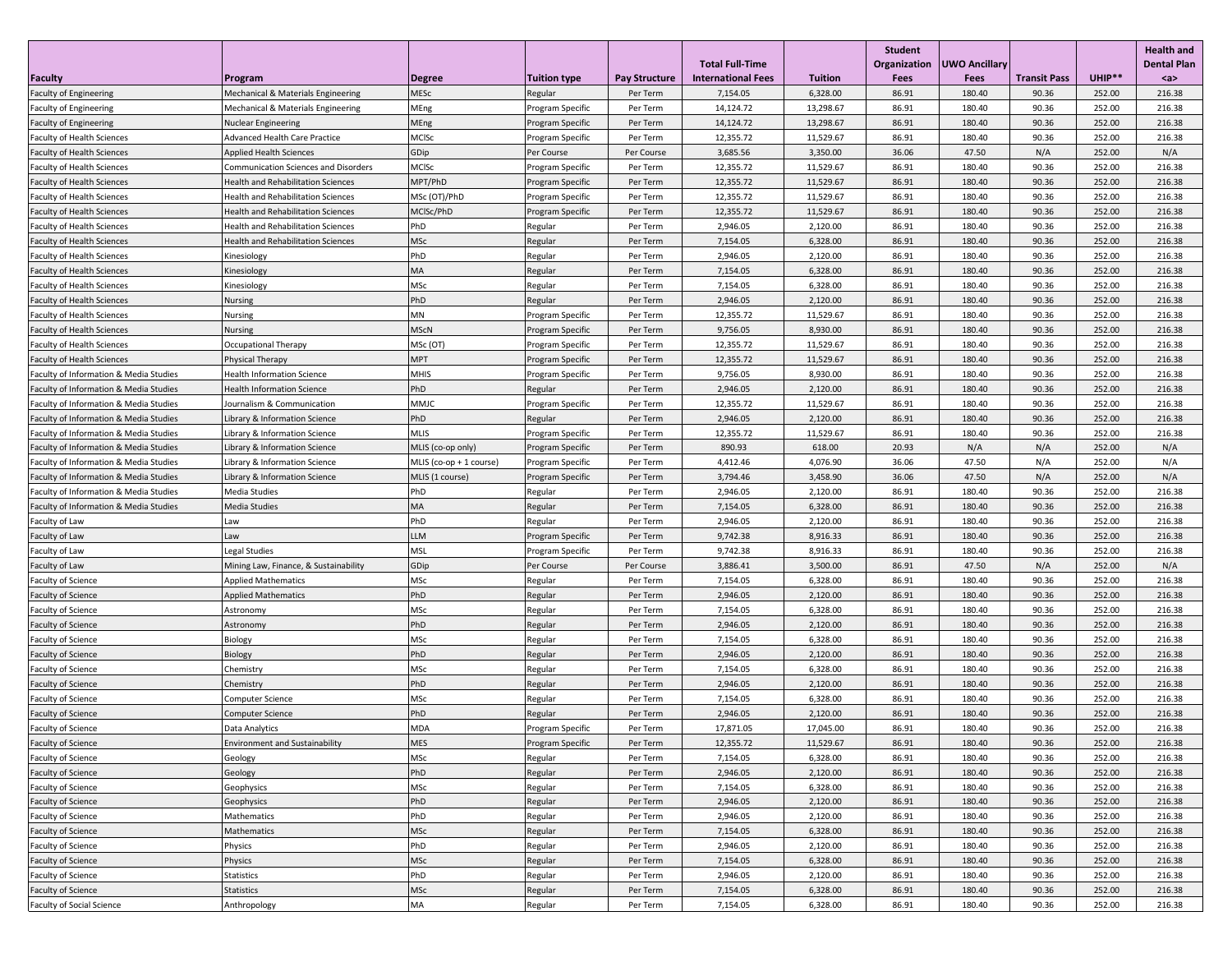| <b>Faculty</b>                         | Program                                   | <b>Degree</b>           | <b>Tuition type</b> | <b>Pay Structure</b> | <b>Total Full-Time</b><br><b>International Fees</b> | <b>Tuition</b> | Student<br>Organization<br>Fees | <b>UWO Ancillary</b><br>Fees | <b>Transit Pass</b> | UHIP** | <b>Health and</b><br><b>Dental Plan</b><br>$a$ |
|----------------------------------------|-------------------------------------------|-------------------------|---------------------|----------------------|-----------------------------------------------------|----------------|---------------------------------|------------------------------|---------------------|--------|------------------------------------------------|
| Faculty of Engineering                 | Mechanical & Materials Engineering        | MESc                    | Regular             | Per Term             | 7,154.05                                            | 6,328.00       | 86.91                           | 180.40                       | 90.36               | 252.00 | 216.38                                         |
| <b>Faculty of Engineering</b>          | Mechanical & Materials Engineering        | MEng                    | Program Specific    | Per Term             | 14,124.72                                           | 13,298.67      | 86.91                           | 180.40                       | 90.36               | 252.00 | 216.38                                         |
| <b>Faculty of Engineering</b>          | <b>Nuclear Engineering</b>                | MEng                    | Program Specific    | Per Term             | 14,124.72                                           | 13,298.67      | 86.91                           | 180.40                       | 90.36               | 252.00 | 216.38                                         |
| <b>Faculty of Health Sciences</b>      | <b>Advanced Health Care Practice</b>      | MCISc                   | Program Specific    | Per Term             | 12,355.72                                           | 11,529.67      | 86.91                           | 180.40                       | 90.36               | 252.00 | 216.38                                         |
| <b>Faculty of Health Sciences</b>      | <b>Applied Health Sciences</b>            | GDip                    | Per Course          | Per Course           | 3,685.56                                            | 3,350.00       | 36.06                           | 47.50                        | N/A                 | 252.00 | N/A                                            |
| <b>Faculty of Health Sciences</b>      | Communication Sciences and Disorders      | MCISc                   | Program Specific    | Per Term             | 12,355.72                                           | 11,529.67      | 86.91                           | 180.40                       | 90.36               | 252.00 | 216.38                                         |
| <b>Faculty of Health Sciences</b>      | <b>Health and Rehabilitation Sciences</b> | MPT/PhD                 | Program Specific    | Per Term             | 12,355.72                                           | 11,529.67      | 86.91                           | 180.40                       | 90.36               | 252.00 | 216.38                                         |
| <b>Faculty of Health Sciences</b>      | <b>Health and Rehabilitation Sciences</b> | MSc (OT)/PhD            | Program Specific    | Per Term             | 12,355.72                                           | 11,529.67      | 86.91                           | 180.40                       | 90.36               | 252.00 | 216.38                                         |
| <b>Faculty of Health Sciences</b>      | <b>Health and Rehabilitation Sciences</b> | MCISc/PhD               | Program Specific    | Per Term             | 12,355.72                                           | 11,529.67      | 86.91                           | 180.40                       | 90.36               | 252.00 | 216.38                                         |
| <b>Faculty of Health Sciences</b>      | <b>Health and Rehabilitation Sciences</b> | PhD                     | Regular             | Per Term             | 2,946.05                                            | 2,120.00       | 86.91                           | 180.40                       | 90.36               | 252.00 | 216.38                                         |
| <b>Faculty of Health Sciences</b>      | <b>Health and Rehabilitation Sciences</b> | MSc                     | Regular             | Per Term             | 7,154.05                                            | 6,328.00       | 86.91                           | 180.40                       | 90.36               | 252.00 | 216.38                                         |
| <b>Faculty of Health Sciences</b>      | Kinesiology                               | PhD                     | Regular             | Per Term             | 2,946.05                                            | 2,120.00       | 86.91                           | 180.40                       | 90.36               | 252.00 | 216.38                                         |
| <b>Faculty of Health Sciences</b>      | Kinesiology                               | MA                      | Regular             | Per Term             | 7,154.05                                            | 6,328.00       | 86.91                           | 180.40                       | 90.36               | 252.00 | 216.38                                         |
| <b>Faculty of Health Sciences</b>      | Kinesiology                               | MSc                     | Regular             | Per Term             | 7,154.05                                            | 6,328.00       | 86.91                           | 180.40                       | 90.36               | 252.00 | 216.38                                         |
| <b>Faculty of Health Sciences</b>      | Nursing                                   | PhD                     | Regular             | Per Term             | 2,946.05                                            | 2,120.00       | 86.91                           | 180.40                       | 90.36               | 252.00 | 216.38                                         |
| <b>Faculty of Health Sciences</b>      | Nursing                                   | MN                      | Program Specific    | Per Term             | 12,355.72                                           | 11,529.67      | 86.91                           | 180.40                       | 90.36               | 252.00 | 216.38                                         |
| <b>Faculty of Health Sciences</b>      | <b>Nursing</b>                            | <b>MScN</b>             | Program Specific    | Per Term             | 9,756.05                                            | 8,930.00       | 86.91                           | 180.40                       | 90.36               | 252.00 | 216.38                                         |
| <b>Faculty of Health Sciences</b>      | Occupational Therapy                      | MSc (OT)                | Program Specific    | Per Term             | 12,355.72                                           | 11,529.67      | 86.91                           | 180.40                       | 90.36               | 252.00 | 216.38                                         |
| <b>Faculty of Health Sciences</b>      | <b>Physical Therapy</b>                   | <b>MPT</b>              | Program Specific    | Per Term             | 12,355.72                                           | 11,529.67      | 86.91                           | 180.40                       | 90.36               | 252.00 | 216.38                                         |
| Faculty of Information & Media Studies | <b>Health Information Science</b>         | <b>MHIS</b>             | Program Specific    | Per Term             | 9,756.05                                            | 8,930.00       | 86.91                           | 180.40                       | 90.36               | 252.00 | 216.38                                         |
| Faculty of Information & Media Studies | <b>Health Information Science</b>         | PhD                     | Regular             | Per Term             | 2,946.05                                            | 2,120.00       | 86.91                           | 180.40                       | 90.36               | 252.00 | 216.38                                         |
| Faculty of Information & Media Studies | Journalism & Communication                | MMJC                    | Program Specific    | Per Term             | 12,355.72                                           | 11,529.67      | 86.91                           | 180.40                       | 90.36               | 252.00 | 216.38                                         |
| Faculty of Information & Media Studies | Library & Information Science             | PhD                     | Regular             | Per Term             | 2,946.05                                            | 2,120.00       | 86.91                           | 180.40                       | 90.36               | 252.00 | 216.38                                         |
| Faculty of Information & Media Studies | Library & Information Science             | <b>MLIS</b>             | Program Specific    | Per Term             | 12,355.72                                           | 11,529.67      | 86.91                           | 180.40                       | 90.36               | 252.00 | 216.38                                         |
| Faculty of Information & Media Studies | Library & Information Science             | MLIS (co-op only)       | Program Specific    | Per Term             | 890.93                                              | 618.00         | 20.93                           | N/A                          | N/A                 | 252.00 | N/A                                            |
| Faculty of Information & Media Studies | Library & Information Science             | MLIS (co-op + 1 course) | Program Specific    | Per Term             | 4,412.46                                            | 4,076.90       | 36.06                           | 47.50                        | N/A                 | 252.00 | N/A                                            |
| Faculty of Information & Media Studies | Library & Information Science             | MLIS (1 course)         | Program Specific    | Per Term             | 3,794.46                                            | 3,458.90       | 36.06                           | 47.50                        | N/A                 | 252.00 | N/A                                            |
| Faculty of Information & Media Studies | Media Studies                             | PhD                     | Regular             | Per Term             | 2,946.05                                            | 2,120.00       | 86.91                           | 180.40                       | 90.36               | 252.00 | 216.38                                         |
| Faculty of Information & Media Studies | <b>Media Studies</b>                      | MA                      | Regular             | Per Term             | 7,154.05                                            | 6,328.00       | 86.91                           | 180.40                       | 90.36               | 252.00 | 216.38                                         |
| Faculty of Law                         | Law                                       | PhD                     | Regular             | Per Term             | 2,946.05                                            | 2,120.00       | 86.91                           | 180.40                       | 90.36               | 252.00 | 216.38                                         |
| Faculty of Law                         | Law                                       | LLM                     | Program Specific    | Per Term             | 9,742.38                                            | 8,916.33       | 86.91                           | 180.40                       | 90.36               | 252.00 | 216.38                                         |
| Faculty of Law                         | Legal Studies                             | <b>MSL</b>              | Program Specific    | Per Term             | 9,742.38                                            | 8,916.33       | 86.91                           | 180.40                       | 90.36               | 252.00 | 216.38                                         |
| Faculty of Law                         | Mining Law, Finance, & Sustainability     | GDip                    | Per Course          | Per Course           | 3,886.41                                            | 3,500.00       | 86.91                           | 47.50                        | N/A                 | 252.00 | N/A                                            |
| Faculty of Science                     | <b>Applied Mathematics</b>                | MSc                     | Regular             | Per Term             | 7,154.05                                            | 6,328.00       | 86.91                           | 180.40                       | 90.36               | 252.00 | 216.38                                         |
| <b>Faculty of Science</b>              | <b>Applied Mathematics</b>                | PhD                     | Regular             | Per Term             | 2,946.05                                            | 2,120.00       | 86.91                           | 180.40                       | 90.36               | 252.00 | 216.38                                         |
| Faculty of Science                     | Astronomy                                 | MSc                     | Regular             | Per Term             | 7,154.05                                            | 6,328.00       | 86.91                           | 180.40                       | 90.36               | 252.00 | 216.38                                         |
| Faculty of Science                     | Astronomy                                 | PhD                     | Regular             | Per Term             | 2,946.05                                            | 2,120.00       | 86.91                           | 180.40                       | 90.36               | 252.00 | 216.38                                         |
| Faculty of Science                     | Biology                                   | MSc                     | Regular             | Per Term             | 7,154.05                                            | 6,328.00       | 86.91                           | 180.40                       | 90.36               | 252.00 | 216.38                                         |
| Faculty of Science                     | Biology                                   | PhD                     | Regular             | Per Term             | 2,946.05                                            | 2,120.00       | 86.91                           | 180.40                       | 90.36               | 252.00 | 216.38                                         |
| Faculty of Science                     | Chemistry                                 | MSc                     | Regular             | Per Term             | 7,154.05                                            | 6,328.00       | 86.91                           | 180.40                       | 90.36               | 252.00 | 216.38                                         |
| Faculty of Science                     | Chemistry                                 | PhD                     | Regular             | Per Term             | 2,946.05                                            | 2,120.00       | 86.91                           | 180.40                       | 90.36               | 252.00 | 216.38                                         |
| Faculty of Science                     | <b>Computer Science</b>                   | MSc                     | Regular             | Per Term             | 7,154.05                                            | 6,328.00       | 86.91                           | 180.40                       | 90.36               | 252.00 | 216.38                                         |
| Faculty of Science                     | <b>Computer Science</b>                   | PhD                     | Regular             | Per Term             | 2,946.05                                            | 2,120.00       | 86.91                           | 180.40                       | 90.36               | 252.00 | 216.38                                         |
| Faculty of Science                     | Data Analytics                            | <b>MDA</b>              | Program Specific    | Per Term             | 17,871.05                                           | 17,045.00      | 86.91                           | 180.40                       | 90.36               | 252.00 | 216.38                                         |
| Faculty of Science                     | <b>Environment and Sustainability</b>     | <b>MES</b>              | Program Specific    | Per Term             | 12,355.72                                           | 11,529.67      | 86.91                           | 180.40                       | 90.36               | 252.00 | 216.38                                         |
| Faculty of Science                     | Geology                                   | MSc                     | Regular             | Per Term             | 7,154.05                                            | 6,328.00       | 86.91                           | 180.40                       | 90.36               | 252.00 | 216.38                                         |
| Faculty of Science                     | Geology                                   | PhD                     | Regular             | Per Term             | 2,946.05                                            | 2,120.00       | 86.91                           | 180.40                       | 90.36               | 252.00 | 216.38                                         |
| Faculty of Science                     | Geophysics                                | MSc                     | Regular             | Per Term             | 7,154.05                                            | 6,328.00       | 86.91                           | 180.40                       | 90.36               | 252.00 | 216.38                                         |
| Faculty of Science                     | Geophysics                                | PhD                     | Regular             | Per Term             | 2,946.05                                            | 2,120.00       | 86.91                           | 180.40                       | 90.36               | 252.00 | 216.38                                         |
| Faculty of Science                     | Mathematics                               | PhD                     | Regular             | Per Term             | 2,946.05                                            | 2,120.00       | 86.91                           | 180.40                       | 90.36               | 252.00 | 216.38                                         |
| Faculty of Science                     | Mathematics                               | MSc                     | Regular             | Per Term             | 7,154.05                                            | 6,328.00       | 86.91                           | 180.40                       | 90.36               | 252.00 | 216.38                                         |
| Faculty of Science                     | Physics                                   | PhD                     | Regular             | Per Term             | 2,946.05                                            | 2,120.00       | 86.91                           | 180.40                       | 90.36               | 252.00 | 216.38                                         |
| Faculty of Science                     | Physics                                   | MSc                     | Regular             | Per Term             | 7,154.05                                            | 6,328.00       | 86.91                           | 180.40                       | 90.36               | 252.00 | 216.38                                         |
| Faculty of Science                     | Statistics                                | PhD                     | Regular             | Per Term             | 2,946.05                                            | 2,120.00       | 86.91                           | 180.40                       | 90.36               | 252.00 | 216.38                                         |
| Faculty of Science                     | <b>Statistics</b>                         | MSc                     | Regular             | Per Term             | 7,154.05                                            | 6,328.00       | 86.91                           | 180.40                       | 90.36               | 252.00 | 216.38                                         |
| Faculty of Social Science              | Anthropology                              | MA                      | Regular             | Per Term             | 7,154.05                                            | 6,328.00       | 86.91                           | 180.40                       | 90.36               | 252.00 | 216.38                                         |